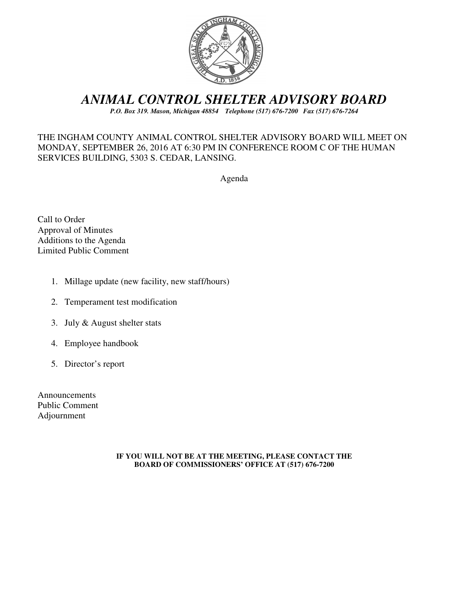

# *ANIMAL CONTROL SHELTER ADVISORY BOARD*

*P.O. Box 319. Mason, Michigan 48854 Telephone (517) 676-7200 Fax (517) 676-7264*

## THE INGHAM COUNTY ANIMAL CONTROL SHELTER ADVISORY BOARD WILL MEET ON MONDAY, SEPTEMBER 26, 2016 AT 6:30 PM IN CONFERENCE ROOM C OF THE HUMAN SERVICES BUILDING, 5303 S. CEDAR, LANSING.

Agenda

Call to Order Approval of Minutes Additions to the Agenda Limited Public Comment

- 1. Millage update (new facility, new staff/hours)
- 2. Temperament test modification
- 3. July & August shelter stats
- 4. Employee handbook
- 5. Director's report

Announcements Public Comment Adjournment

#### **IF YOU WILL NOT BE AT THE MEETING, PLEASE CONTACT THE BOARD OF COMMISSIONERS' OFFICE AT (517) 676-7200**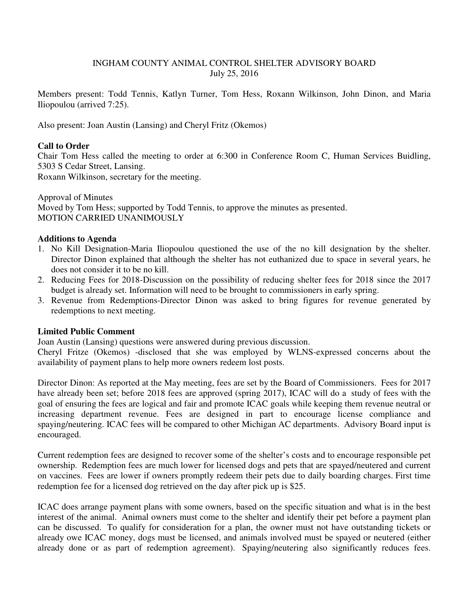#### INGHAM COUNTY ANIMAL CONTROL SHELTER ADVISORY BOARD July 25, 2016

Members present: Todd Tennis, Katlyn Turner, Tom Hess, Roxann Wilkinson, John Dinon, and Maria Iliopoulou (arrived 7:25).

Also present: Joan Austin (Lansing) and Cheryl Fritz (Okemos)

### **Call to Order**

Chair Tom Hess called the meeting to order at 6:300 in Conference Room C, Human Services Buidling, 5303 S Cedar Street, Lansing.

Roxann Wilkinson, secretary for the meeting.

Approval of Minutes Moved by Tom Hess; supported by Todd Tennis, to approve the minutes as presented. MOTION CARRIED UNANIMOUSLY

#### **Additions to Agenda**

- 1. No Kill Designation-Maria Iliopoulou questioned the use of the no kill designation by the shelter. Director Dinon explained that although the shelter has not euthanized due to space in several years, he does not consider it to be no kill.
- 2. Reducing Fees for 2018-Discussion on the possibility of reducing shelter fees for 2018 since the 2017 budget is already set. Information will need to be brought to commissioners in early spring.
- 3. Revenue from Redemptions-Director Dinon was asked to bring figures for revenue generated by redemptions to next meeting.

#### **Limited Public Comment**

Joan Austin (Lansing) questions were answered during previous discussion.

Cheryl Fritze (Okemos) -disclosed that she was employed by WLNS-expressed concerns about the availability of payment plans to help more owners redeem lost posts.

Director Dinon: As reported at the May meeting, fees are set by the Board of Commissioners. Fees for 2017 have already been set; before 2018 fees are approved (spring 2017), ICAC will do a study of fees with the goal of ensuring the fees are logical and fair and promote ICAC goals while keeping them revenue neutral or increasing department revenue. Fees are designed in part to encourage license compliance and spaying/neutering. ICAC fees will be compared to other Michigan AC departments. Advisory Board input is encouraged.

Current redemption fees are designed to recover some of the shelter's costs and to encourage responsible pet ownership. Redemption fees are much lower for licensed dogs and pets that are spayed/neutered and current on vaccines. Fees are lower if owners promptly redeem their pets due to daily boarding charges. First time redemption fee for a licensed dog retrieved on the day after pick up is \$25.

ICAC does arrange payment plans with some owners, based on the specific situation and what is in the best interest of the animal. Animal owners must come to the shelter and identify their pet before a payment plan can be discussed. To qualify for consideration for a plan, the owner must not have outstanding tickets or already owe ICAC money, dogs must be licensed, and animals involved must be spayed or neutered (either already done or as part of redemption agreement). Spaying/neutering also significantly reduces fees.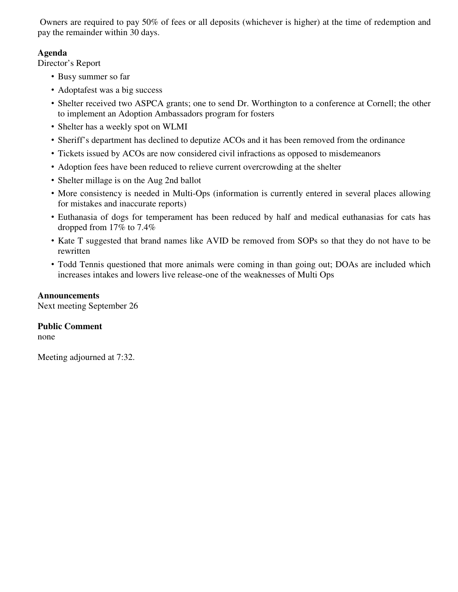Owners are required to pay 50% of fees or all deposits (whichever is higher) at the time of redemption and pay the remainder within 30 days.

## **Agenda**

Director's Report

- Busy summer so far
- Adoptafest was a big success
- Shelter received two ASPCA grants; one to send Dr. Worthington to a conference at Cornell; the other to implement an Adoption Ambassadors program for fosters
- Shelter has a weekly spot on WLMI
- Sheriff's department has declined to deputize ACOs and it has been removed from the ordinance
- Tickets issued by ACOs are now considered civil infractions as opposed to misdemeanors
- Adoption fees have been reduced to relieve current overcrowding at the shelter
- Shelter millage is on the Aug 2nd ballot
- More consistency is needed in Multi-Ops (information is currently entered in several places allowing for mistakes and inaccurate reports)
- Euthanasia of dogs for temperament has been reduced by half and medical euthanasias for cats has dropped from 17% to 7.4%
- Kate T suggested that brand names like AVID be removed from SOPs so that they do not have to be rewritten
- Todd Tennis questioned that more animals were coming in than going out; DOAs are included which increases intakes and lowers live release-one of the weaknesses of Multi Ops

#### **Announcements**

Next meeting September 26

## **Public Comment**

none

Meeting adjourned at 7:32.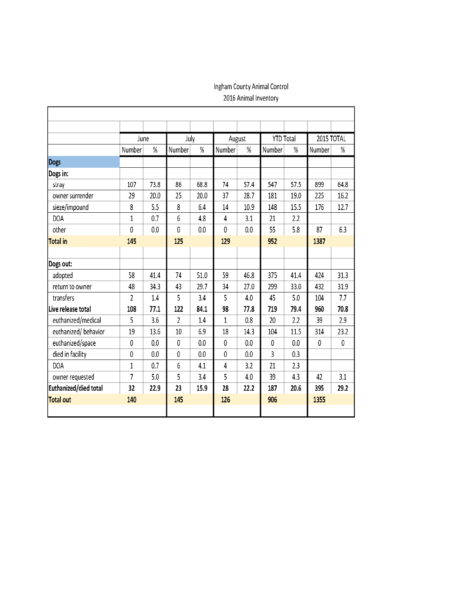# Ingham County Animal Control 2016 Animal Inventory

٦

|                       | June         |      | July           |      | August       |      | <b>YTD Total</b> |      | 2015 TOTAL |      |
|-----------------------|--------------|------|----------------|------|--------------|------|------------------|------|------------|------|
|                       | Number       | %    | Number         | %    | Number       | %    | Number           | %    | Number     | %    |
| <b>Dogs</b>           |              |      |                |      |              |      |                  |      |            |      |
| Dogs in:              |              |      |                |      |              |      |                  |      |            |      |
| stray                 | 107          | 73.8 | 86             | 68.8 | 74           | 57.4 | 547              | 57.5 | 899        | 64.8 |
| owner surrender       | 29           | 20.0 | 25             | 20.0 | 37           | 28.7 | 181              | 19.0 | 225        | 16.2 |
| sieze/impound         | 8            | 5.5  | 8              | 6.4  | 14           | 10.9 | 148              | 15.5 | 176        | 12.7 |
| <b>DOA</b>            | $\mathbf{1}$ | 0.7  | 6              | 4.8  | 4            | 3.1  | 21               | 2.2  |            |      |
| other                 | 0            | 0.0  | 0              | 0.0  | 0            | 0.0  | 55               | 5.8  | 87         | 6.3  |
| <b>Total in</b>       | 145          |      | 125            |      | 129          |      | 952              |      | 1387       |      |
|                       |              |      |                |      |              |      |                  |      |            |      |
| Dogs out:             |              |      |                |      |              |      |                  |      |            |      |
| adopted               | 58           | 41.4 | 74             | 51.0 | 59           | 46.8 | 375              | 41.4 | 424        | 31.3 |
| return to owner       | 48           | 34.3 | 43             | 29.7 | 34           | 27.0 | 299              | 33.0 | 432        | 31.9 |
| transfers             | 2            | 1.4  | 5              | 3.4  | 5            | 4.0  | 45               | 5.0  | 104        | 7.7  |
| Live release total    | 108          | 77.1 | 122            | 84.1 | 98           | 77.8 | 719              | 79.4 | 960        | 70.8 |
| euthanized/medical    | 5            | 3.6  | $\overline{2}$ | 1.4  | $\mathbf{1}$ | 0.8  | 20               | 2.2  | 39         | 2.9  |
| euthanized/behavior   | 19           | 13.6 | 10             | 6.9  | 18           | 14.3 | 104              | 11.5 | 314        | 23.2 |
| euthanized/space      | 0            | 0.0  | 0              | 0.0  | 0            | 0.0  | 0                | 0.0  | 0          | 0    |
| died in facility      | 0            | 0.0  | 0              | 0.0  | 0            | 0.0  | 3                | 0.3  |            |      |
| <b>DOA</b>            | $\mathbf{1}$ | 0.7  | 6              | 4.1  | 4            | 3.2  | 21               | 2.3  |            |      |
| owner requested       | 7            | 5.0  | 5              | 3.4  | 5            | 4.0  | 39               | 4.3  | 42         | 3.1  |
| Euthanized/died total | 32           | 22.9 | 23             | 15.9 | 28           | 22.2 | 187              | 20.6 | 395        | 29.2 |
| <b>Total out</b>      | 140          |      | 145            |      | 126          |      | 906              |      | 1355       |      |
|                       |              |      |                |      |              |      |                  |      |            |      |

г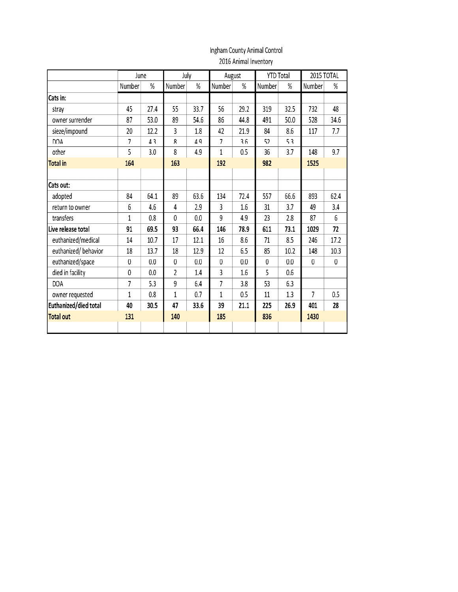#### Ingham County Animal Control  $\overline{0.0100}$  Antonel In

| 2016 Animal Inventory |
|-----------------------|
|                       |

|                       | June           |      | July           |      | August         |      | <b>YTD Total</b> |      | 2015 TOTAL |           |
|-----------------------|----------------|------|----------------|------|----------------|------|------------------|------|------------|-----------|
|                       | Number         | %    | Number         | %    | Number         | %    | Number           | %    | Number     | %         |
| Cats in:              |                |      |                |      |                |      |                  |      |            |           |
| strav                 | 45             | 27.4 | 55             | 33.7 | 56             | 29.2 | 319              | 32.5 | 732        | 48        |
| owner surrender       | 87             | 53.0 | 89             | 54.6 | 86             | 44.8 | 491              | 50.0 | 528        | 34.6      |
| sieze/impound         | 20             | 12.2 | 3              | 1.8  | 42             | 21.9 | 84               | 8.6  | 117        | 7.7       |
| <b>DOA</b>            | 7              | 4.3  | 8              | 4.9  | 7              | 3.6  | 52               | 5.3  |            |           |
| other                 | 5              | 3.0  | 8              | 4.9  | 1              | 0.5  | 36               | 3.7  | 148        | 9.7       |
| <b>Total in</b>       | 164            |      | 163            |      | 192            |      | 982              |      | 1525       |           |
|                       |                |      |                |      |                |      |                  |      |            |           |
| Cats out:             |                |      |                |      |                |      |                  |      |            |           |
| adopted               | 84             | 64.1 | 89             | 63.6 | 134            | 72.4 | 557              | 66.6 | 893        | 62.4      |
| return to owner       | 6              | 4.6  | 4              | 2.9  | 3              | 1.6  | 31               | 3.7  | 49         | 3.4       |
| transfers             | $\mathbf{1}$   | 0.8  | 0              | 0.0  | $\overline{9}$ | 4.9  | 23               | 2.8  | 87         | 6         |
| Live release total    | 91             | 69.5 | 93             | 66.4 | 146            | 78.9 | 611              | 73.1 | 1029       | 72        |
| euthanized/medical    | 14             | 10.7 | 17             | 12.1 | 16             | 8.6  | 71               | 8.5  | 246        | 17.2      |
| euthanized/behavior   | 18             | 13.7 | 18             | 12.9 | 12             | 6.5  | 85               | 10.2 | 148        | 10.3      |
| euthanized/space      | $\bf{0}$       | 0.0  | $\pmb{0}$      | 0.0  | $\bf{0}$       | 0.0  | $\bf{0}$         | 0.0  | 0          | $\pmb{0}$ |
| died in facility      | $\mathbf{0}$   | 0.0  | $\overline{c}$ | 1.4  | 3              | 1.6  | 5                | 0.6  |            |           |
| <b>DOA</b>            | $\overline{7}$ | 5.3  | 9              | 6.4  | $\overline{7}$ | 3.8  | 53               | 6.3  |            |           |
| owner requested       | $\mathbf{1}$   | 0.8  | $\mathbf{1}$   | 0.7  | $\overline{1}$ | 0.5  | 11               | 1.3  | 7          | 0.5       |
| Euthanized/died total | 40             | 30.5 | 47             | 33.6 | 39             | 21.1 | 225              | 26.9 | 401        | 28        |
| <b>Total out</b>      | 131            |      | 140            |      | 185            |      | 836              |      | 1430       |           |
|                       |                |      |                |      |                |      |                  |      |            |           |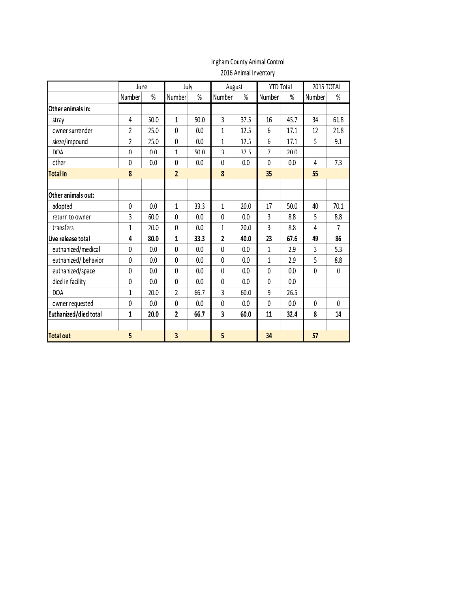## Ingham County Animal Control 2016 Animal Inventory

|                       | June           |      | July             |      | August         |      | <b>YTD Total</b> |      | 2015 TOTAL       |                |
|-----------------------|----------------|------|------------------|------|----------------|------|------------------|------|------------------|----------------|
|                       | Number         | %    | Number           | $\%$ | Number         | %    | Number           | %    | Number           | $\%$           |
| Other animals in:     |                |      |                  |      |                |      |                  |      |                  |                |
| stray                 | 4              | 50.0 | $\mathbf{1}$     | 50.0 | 3              | 37.5 | 16               | 45.7 | 34               | 61.8           |
| owner surrender       | $\overline{2}$ | 25.0 | $\mathbf 0$      | 0.0  | $\mathbf{1}$   | 12.5 | 6                | 17.1 | 12               | 21.8           |
| sieze/impound         | $\overline{2}$ | 25.0 | 0                | 0.0  | $\mathbf{1}$   | 12.5 | 6                | 17.1 | 5                | 9.1            |
| DOA                   | $\theta$       | 0.0  | $\mathbf{1}$     | 50.0 | 3              | 37.5 | $\overline{7}$   | 20.0 |                  |                |
| other                 | 0              | 0.0  | 0                | 0.0  | $\mathbf 0$    | 0.0  | $\mathbf{0}$     | 0.0  | 4                | 7.3            |
| <b>Total in</b>       | 8              |      | $\overline{2}$   |      | 8              |      | 35               |      | 55               |                |
|                       |                |      |                  |      |                |      |                  |      |                  |                |
| Other animals out:    |                |      |                  |      |                |      |                  |      |                  |                |
| adopted               | $\mathbf{0}$   | 0.0  | $\mathbf{1}$     | 33.3 | $\mathbf{1}$   | 20.0 | 17               | 50.0 | 40               | 70.1           |
| return to owner       | 3              | 60.0 | 0                | 0.0  | $\mathbf{0}$   | 0.0  | 3                | 8.8  | 5                | 8.8            |
| transfers             | $\mathbf{1}$   | 20.0 | $\mathbf 0$      | 0.0  | $\mathbf{1}$   | 20.0 | 3                | 8.8  | 4                | $\overline{7}$ |
| Live release total    | 4              | 80.0 | $\mathbf{1}$     | 33.3 | $\overline{2}$ | 40.0 | 23               | 67.6 | 49               | 86             |
| euthanized/medical    | 0              | 0.0  | 0                | 0.0  | $\mathbf{0}$   | 0.0  | $\mathbf{1}$     | 2.9  | 3                | 5.3            |
| euthanized/behavior   | $\mathbf 0$    | 0.0  | 0                | 0.0  | $\mathbf{0}$   | 0.0  | $\mathbf{1}$     | 2.9  | 5                | 8.8            |
| euthanized/space      | $\mathbf 0$    | 0.0  | $\boldsymbol{0}$ | 0.0  | $\theta$       | 0.0  | $\theta$         | 0.0  | $\boldsymbol{0}$ | $\bf{0}$       |
| died in facility      | 0              | 0.0  | 0                | 0.0  | $\mathbf{0}$   | 0.0  | $\Omega$         | 0.0  |                  |                |
| <b>DOA</b>            | 1              | 20.0 | $\overline{2}$   | 66.7 | 3              | 60.0 | 9                | 26.5 |                  |                |
| owner requested       | $\mathbf 0$    | 0.0  | 0                | 0.0  | $\mathbf{0}$   | 0.0  | $\mathbf{0}$     | 0.0  | 0                | $\theta$       |
| Euthanized/died total | $\mathbf 1$    | 20.0 | $\overline{2}$   | 66.7 | 3              | 60.0 | 11               | 32.4 | 8                | 14             |
|                       |                |      |                  |      |                |      |                  |      |                  |                |
| <b>Total out</b>      | 5              |      | 3                |      | 5              |      | 34               |      | 57               |                |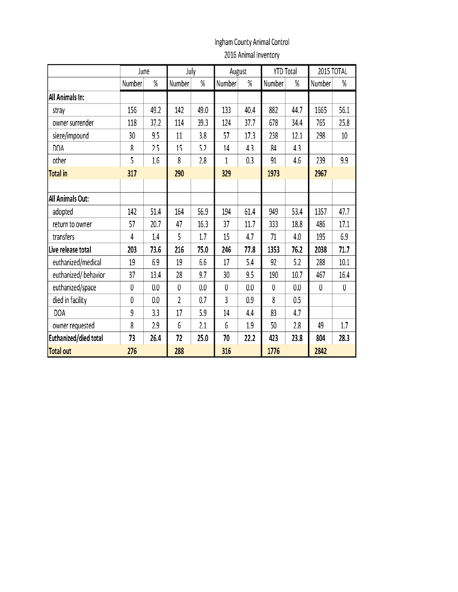# Ingham County Animal Control

2016 Animal Inventory

|                         | June            |      | July           |      | August       |      | <b>YTD Total</b> |      | 2015 TOTAL   |                 |  |
|-------------------------|-----------------|------|----------------|------|--------------|------|------------------|------|--------------|-----------------|--|
|                         | Number          | %    | Number         | %    | Number       | %    | Number           | %    | Number       | $\%$            |  |
| <b>All Animals In:</b>  |                 |      |                |      |              |      |                  |      |              |                 |  |
| stray                   | 156             | 49.2 | 142            | 49.0 | 133          | 40.4 | 882              | 44.7 | 1665         | 56.1            |  |
| owner surrender         | 118             | 37.2 | 114            | 39.3 | 124          | 37.7 | 678              | 34.4 | 765          | 25.8            |  |
| sieze/impound           | 30 <sup>°</sup> | 9.5  | 11             | 3.8  | 57           | 17.3 | 238              | 12.1 | 298          | 10 <sup>°</sup> |  |
| <b>DOA</b>              | 8               | 2.5  | 15             | 5.2  | 14           | 4.3  | 84               | 4.3  |              |                 |  |
| other                   | 5               | 1.6  | 8              | 2.8  | 1            | 0.3  | 91               | 4.6  | 239          | 9.9             |  |
| <b>Total in</b>         | 317             |      | 290            |      | 329          |      | 1973             |      | 2967         |                 |  |
|                         |                 |      |                |      |              |      |                  |      |              |                 |  |
| <b>All Animals Out:</b> |                 |      |                |      |              |      |                  |      |              |                 |  |
| adopted                 | 142             | 51.4 | 164            | 56.9 | 194          | 61.4 | 949              | 53.4 | 1357         | 47.7            |  |
| return to owner         | 57              | 20.7 | 47             | 16.3 | 37           | 11.7 | 333              | 18.8 | 486          | 17.1            |  |
| transfers               | 4               | 1.4  | 5              | 1.7  | 15           | 4.7  | 71               | 4.0  | 195          | 6.9             |  |
| Live release total      | 203             | 73.6 | 216            | 75.0 | 246          | 77.8 | 1353             | 76.2 | 2038         | 71.7            |  |
| euthanized/medical      | 19              | 6.9  | 19             | 6.6  | 17           | 5.4  | 92               | 5.2  | 288          | 10.1            |  |
| euthanized/behavior     | 37              | 13.4 | 28             | 9.7  | 30           | 9.5  | 190              | 10.7 | 467          | 16.4            |  |
| euthanized/space        | $\mathbf{0}$    | 0.0  | $\overline{0}$ | 0.0  | $\mathbf{0}$ | 0.0  | $\mathbf{0}$     | 0.0  | $\mathbf{0}$ | $\bf{0}$        |  |
| died in facility        | 0               | 0.0  | $\overline{2}$ | 0.7  | 3            | 0.9  | 8                | 0.5  |              |                 |  |
| <b>DOA</b>              | 9               | 3.3  | 17             | 5.9  | 14           | 4.4  | 83               | 4.7  |              |                 |  |
| owner requested         | 8               | 2.9  | 6              | 2.1  | 6            | 1.9  | 50               | 2.8  | 49           | 1.7             |  |
| Euthanized/died total   | 73              | 26.4 | 72             | 25.0 | 70           | 22.2 | 423              | 23.8 | 804          | 28.3            |  |
| Total out               | 276             |      | 288            |      |              | 316  |                  | 1776 |              | 2842            |  |